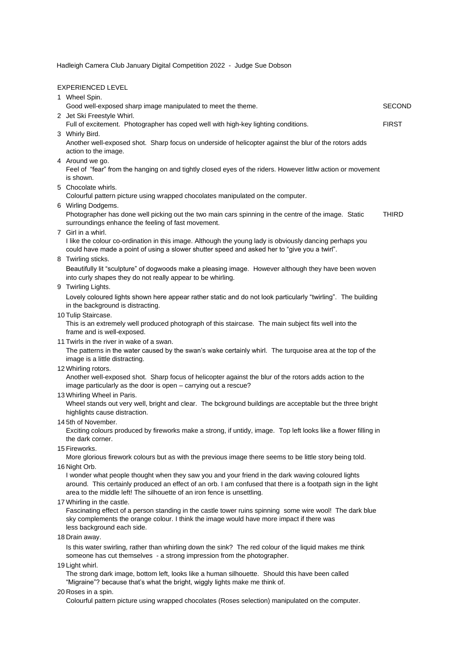Hadleigh Camera Club January Digital Competition 2022 - Judge Sue Dobson

## EXPERIENCED LEVEL

| 1 Wheel Spin.                                                                                                                                                                                                                                                                                 |               |
|-----------------------------------------------------------------------------------------------------------------------------------------------------------------------------------------------------------------------------------------------------------------------------------------------|---------------|
| Good well-exposed sharp image manipulated to meet the theme.                                                                                                                                                                                                                                  | <b>SECOND</b> |
| 2 Jet Ski Freestyle Whirl.<br>Full of excitement. Photographer has coped well with high-key lighting conditions.                                                                                                                                                                              | <b>FIRST</b>  |
| 3 Whirly Bird.                                                                                                                                                                                                                                                                                |               |
| Another well-exposed shot. Sharp focus on underside of helicopter against the blur of the rotors adds<br>action to the image.                                                                                                                                                                 |               |
| 4 Around we go.                                                                                                                                                                                                                                                                               |               |
| Feel of "fear" from the hanging on and tightly closed eyes of the riders. However littlw action or movement<br>is shown.                                                                                                                                                                      |               |
| 5 Chocolate whirls.                                                                                                                                                                                                                                                                           |               |
| Colourful pattern picture using wrapped chocolates manipulated on the computer.                                                                                                                                                                                                               |               |
| 6 Wirling Dodgems.                                                                                                                                                                                                                                                                            |               |
| Photographer has done well picking out the two main cars spinning in the centre of the image. Static<br>surroundings enhance the feeling of fast movement.                                                                                                                                    | <b>THIRD</b>  |
| 7 Girl in a whirl.                                                                                                                                                                                                                                                                            |               |
| I like the colour co-ordination in this image. Although the young lady is obviously dancing perhaps you<br>could have made a point of using a slower shutter speed and asked her to "give you a twirl".                                                                                       |               |
| 8 Twirling sticks.                                                                                                                                                                                                                                                                            |               |
| Beautifully lit "sculpture" of dogwoods make a pleasing image. However although they have been woven<br>into curly shapes they do not really appear to be whirling.                                                                                                                           |               |
| 9 Twirling Lights.                                                                                                                                                                                                                                                                            |               |
| Lovely coloured lights shown here appear rather static and do not look particularly "twirling". The building<br>in the background is distracting.                                                                                                                                             |               |
| 10 Tulip Staircase.                                                                                                                                                                                                                                                                           |               |
| This is an extremely well produced photograph of this staircase. The main subject fits well into the<br>frame and is well-exposed.                                                                                                                                                            |               |
| 11 Twirls in the river in wake of a swan.                                                                                                                                                                                                                                                     |               |
| The patterns in the water caused by the swan's wake certainly whirl. The turquoise area at the top of the<br>image is a little distracting.                                                                                                                                                   |               |
| 12 Whirling rotors.                                                                                                                                                                                                                                                                           |               |
| Another well-exposed shot. Sharp focus of helicopter against the blur of the rotors adds action to the<br>image particularly as the door is open – carrying out a rescue?                                                                                                                     |               |
| 13 Whirling Wheel in Paris.                                                                                                                                                                                                                                                                   |               |
| Wheel stands out very well, bright and clear. The bckground buildings are acceptable but the three bright<br>highlights cause distraction.                                                                                                                                                    |               |
| 14 5th of November.                                                                                                                                                                                                                                                                           |               |
| Exciting colours produced by fireworks make a strong, if untidy, image. Top left looks like a flower filling in<br>the dark corner.                                                                                                                                                           |               |
| 15 Fireworks.                                                                                                                                                                                                                                                                                 |               |
| More glorious firework colours but as with the previous image there seems to be little story being told.                                                                                                                                                                                      |               |
| 16 Night Orb.                                                                                                                                                                                                                                                                                 |               |
| I wonder what people thought when they saw you and your friend in the dark waving coloured lights<br>around. This certainly produced an effect of an orb. I am confused that there is a footpath sign in the light<br>area to the middle left! The silhouette of an iron fence is unsettling. |               |
| 17 Whirling in the castle.                                                                                                                                                                                                                                                                    |               |
| Fascinating effect of a person standing in the castle tower ruins spinning some wire wool! The dark blue<br>sky complements the orange colour. I think the image would have more impact if there was<br>less background each side.                                                            |               |
| 18 Drain away.                                                                                                                                                                                                                                                                                |               |
| Is this water swirling, rather than whirling down the sink? The red colour of the liquid makes me think                                                                                                                                                                                       |               |
| someone has cut themselves - a strong impression from the photographer.                                                                                                                                                                                                                       |               |
| 19 Light whirl.                                                                                                                                                                                                                                                                               |               |
| The strong dark image, bottom left, looks like a human silhouette. Should this have been called<br>"Migraine"? because that's what the bright, wiggly lights make me think of.                                                                                                                |               |
|                                                                                                                                                                                                                                                                                               |               |

20 Roses in a spin.

Colourful pattern picture using wrapped chocolates (Roses selection) manipulated on the computer.